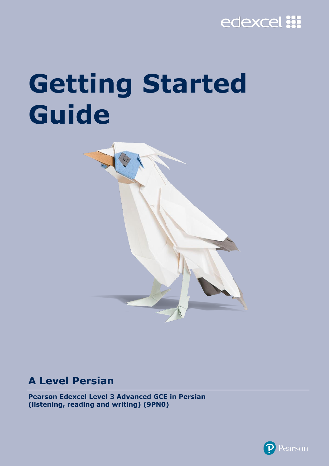# edexcel :::

# **Getting Started Guide**



# **A Level Persian**

**Pearson Edexcel Level 3 Advanced GCE in Persian (listening, reading and writing) (9PN0)**

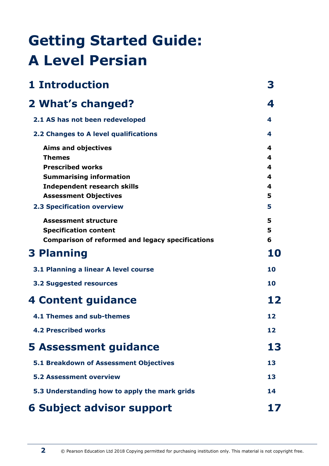# **Getting Started Guide: A Level Persian**

| <b>1 Introduction</b>                                   | 3  |
|---------------------------------------------------------|----|
| 2 What's changed?                                       | 4  |
| 2.1 AS has not been redeveloped                         | 4  |
| 2.2 Changes to A level qualifications                   | 4  |
| <b>Aims and objectives</b>                              | 4  |
| <b>Themes</b>                                           | 4  |
| <b>Prescribed works</b>                                 | 4  |
| <b>Summarising information</b>                          | 4  |
| <b>Independent research skills</b>                      | 4  |
| <b>Assessment Objectives</b>                            | 5  |
| <b>2.3 Specification overview</b>                       | 5  |
| <b>Assessment structure</b>                             | 5  |
| <b>Specification content</b>                            | 5  |
| <b>Comparison of reformed and legacy specifications</b> | 6  |
| <b>3 Planning</b>                                       | 10 |
| 3.1 Planning a linear A level course                    | 10 |
| <b>3.2 Suggested resources</b>                          | 10 |
| <b>4 Content guidance</b>                               | 12 |
| 4.1 Themes and sub-themes                               | 12 |
| <b>4.2 Prescribed works</b>                             | 12 |
| <b>5 Assessment guidance</b>                            | 13 |
| 5.1 Breakdown of Assessment Objectives                  | 13 |
| <b>5.2 Assessment overview</b>                          | 13 |
| 5.3 Understanding how to apply the mark grids           | 14 |
| <b>6 Subject advisor support</b>                        | 17 |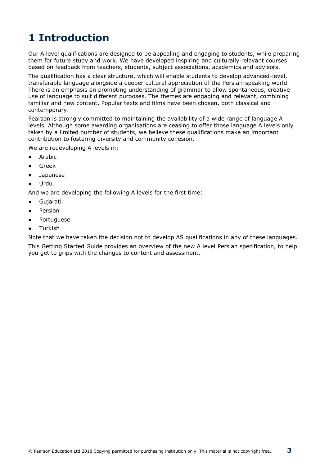# **1 Introduction**

Our A level qualifications are designed to be appealing and engaging to students, while preparing them for future study and work. We have developed inspiring and culturally relevant courses based on feedback from teachers, students, subject associations, academics and advisors.

The qualification has a clear structure, which will enable students to develop advanced-level, transferable language alongside a deeper cultural appreciation of the Persian-speaking world. There is an emphasis on promoting understanding of grammar to allow spontaneous, creative use of language to suit different purposes. The themes are engaging and relevant, combining familiar and new content. Popular texts and films have been chosen, both classical and contemporary.

Pearson is strongly committed to maintaining the availability of a wide range of language A levels. Although some awarding organisations are ceasing to offer those language A levels only taken by a limited number of students, we believe these qualifications make an important contribution to fostering diversity and community cohesion.

We are redeveloping A levels in:

- Arabic
- **Greek**
- **Japanese**
- **Urdu**

And we are developing the following A levels for the first time:

- Gujarati
- Persian
- Portuguese
- **Turkish**

Note that we have taken the decision not to develop AS qualifications in any of these languages. This Getting Started Guide provides an overview of the new A level Persian specification, to help you get to grips with the changes to content and assessment.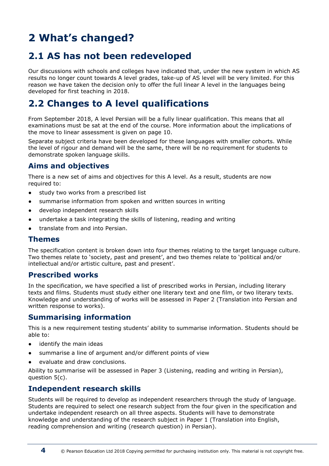# **2 What's changed?**

### **2.1 AS has not been redeveloped**

Our discussions with schools and colleges have indicated that, under the new system in which AS results no longer count towards A level grades, take-up of AS level will be very limited. For this reason we have taken the decision only to offer the full linear A level in the languages being developed for first teaching in 2018.

### **2.2 Changes to A level qualifications**

From September 2018, A level Persian will be a fully linear qualification. This means that all examinations must be sat at the end of the course. More information about the implications of the move to linear assessment is given on page 10.

Separate subject criteria have been developed for these languages with smaller cohorts. While the level of rigour and demand will be the same, there will be no requirement for students to demonstrate spoken language skills.

#### **Aims and objectives**

There is a new set of aims and objectives for this A level. As a result, students are now required to:

- study two works from a prescribed list
- summarise information from spoken and written sources in writing
- develop independent research skills
- undertake a task integrating the skills of listening, reading and writing
- translate from and into Persian.

#### **Themes**

The specification content is broken down into four themes relating to the target language culture. Two themes relate to 'society, past and present', and two themes relate to 'political and/or intellectual and/or artistic culture, past and present'.

#### **Prescribed works**

In the specification, we have specified a list of prescribed works in Persian, including literary texts and films. Students must study either one literary text and one film, or two literary texts. Knowledge and understanding of works will be assessed in Paper 2 (Translation into Persian and written response to works).

#### **Summarising information**

This is a new requirement testing students' ability to summarise information. Students should be able to:

- identify the main ideas
- summarise a line of argument and/or different points of view
- evaluate and draw conclusions.

Ability to summarise will be assessed in Paper 3 (Listening, reading and writing in Persian), question 5(c).

#### **Independent research skills**

Students will be required to develop as independent researchers through the study of language. Students are required to select one research subject from the four given in the specification and undertake independent research on all three aspects. Students will have to demonstrate knowledge and understanding of the research subject in Paper 1 (Translation into English, reading comprehension and writing (research question) in Persian).

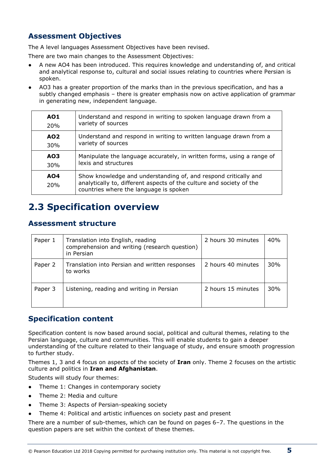#### **Assessment Objectives**

The A level languages Assessment Objectives have been revised.

There are two main changes to the Assessment Objectives:

- A new AO4 has been introduced. This requires knowledge and understanding of, and critical and analytical response to, cultural and social issues relating to countries where Persian is spoken.
- AO3 has a greater proportion of the marks than in the previous specification, and has a subtly changed emphasis – there is greater emphasis now on active application of grammar in generating new, independent language.

| <b>AO1</b>        | Understand and respond in writing to spoken language drawn from a                                                                                                                 |
|-------------------|-----------------------------------------------------------------------------------------------------------------------------------------------------------------------------------|
| 20%               | variety of sources                                                                                                                                                                |
| AO <sub>2</sub>   | Understand and respond in writing to written language drawn from a                                                                                                                |
| 30%               | variety of sources                                                                                                                                                                |
| AO3               | Manipulate the language accurately, in written forms, using a range of                                                                                                            |
| 30%               | lexis and structures                                                                                                                                                              |
| <b>AO4</b><br>20% | Show knowledge and understanding of, and respond critically and<br>analytically to, different aspects of the culture and society of the<br>countries where the language is spoken |

### **2.3 Specification overview**

#### **Assessment structure**

| Paper 1 | Translation into English, reading<br>comprehension and writing (research question)<br>in Persian | 2 hours 30 minutes | 40% |
|---------|--------------------------------------------------------------------------------------------------|--------------------|-----|
| Paper 2 | Translation into Persian and written responses<br>to works                                       | 2 hours 40 minutes | 30% |
| Paper 3 | Listening, reading and writing in Persian                                                        | 2 hours 15 minutes | 30% |

#### **Specification content**

Specification content is now based around social, political and cultural themes, relating to the Persian language, culture and communities. This will enable students to gain a deeper understanding of the culture related to their language of study, and ensure smooth progression to further study.

Themes 1, 3 and 4 focus on aspects of the society of **Iran** only. Theme 2 focuses on the artistic culture and politics in **Iran and Afghanistan**.

Students will study four themes:

- Theme 1: Changes in contemporary society
- Theme 2: Media and culture
- Theme 3: Aspects of Persian-speaking society
- Theme 4: Political and artistic influences on society past and present

There are a number of sub-themes, which can be found on pages 6–7. The questions in the question papers are set within the context of these themes.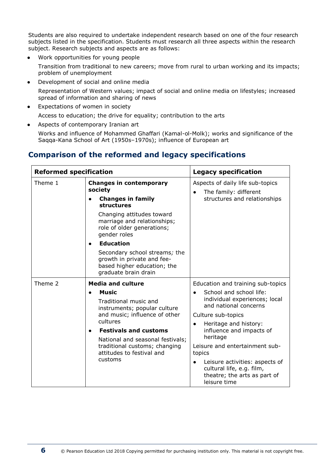Students are also required to undertake independent research based on one of the four research subjects listed in the specification. Students must research all three aspects within the research subject. Research subjects and aspects are as follows:

● Work opportunities for young people

Transition from traditional to new careers; move from rural to urban working and its impacts; problem of unemployment

- Development of social and online media Representation of Western values; impact of social and online media on lifestyles; increased spread of information and sharing of news
- Expectations of women in society
	- Access to education; the drive for equality; contribution to the arts
- Aspects of contemporary Iranian art

Works and influence of Mohammed Ghaffari (Kamal-ol-Molk); works and significance of the Saqqa-Kana School of Art (1950s–1970s); influence of European art

#### **Comparison of the reformed and legacy specifications**

| <b>Reformed specification</b> |                                                                                                                    | <b>Legacy specification</b>                                                                                 |  |
|-------------------------------|--------------------------------------------------------------------------------------------------------------------|-------------------------------------------------------------------------------------------------------------|--|
| Theme 1                       | <b>Changes in contemporary</b><br>society<br><b>Changes in family</b><br><b>structures</b>                         | Aspects of daily life sub-topics<br>The family: different<br>structures and relationships                   |  |
|                               | Changing attitudes toward<br>marriage and relationships;<br>role of older generations;<br>gender roles             |                                                                                                             |  |
|                               | <b>Education</b><br>$\bullet$                                                                                      |                                                                                                             |  |
|                               | Secondary school streams; the<br>growth in private and fee-<br>based higher education; the<br>graduate brain drain |                                                                                                             |  |
| Theme 2                       | <b>Media and culture</b>                                                                                           | Education and training sub-topics                                                                           |  |
|                               | <b>Music</b><br>Traditional music and<br>instruments; popular culture<br>and music; influence of other             | School and school life:<br>individual experiences; local<br>and national concerns                           |  |
|                               |                                                                                                                    | Culture sub-topics                                                                                          |  |
|                               | cultures<br><b>Festivals and customs</b><br>National and seasonal festivals;                                       | Heritage and history:<br>influence and impacts of<br>heritage                                               |  |
|                               | traditional customs; changing<br>attitudes to festival and<br>customs                                              | Leisure and entertainment sub-<br>topics                                                                    |  |
|                               |                                                                                                                    | Leisure activities: aspects of<br>cultural life, e.g. film,<br>theatre; the arts as part of<br>leisure time |  |

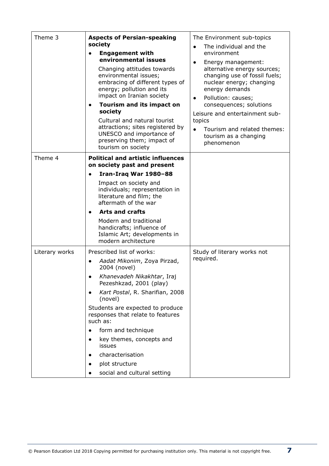| Theme 3        | <b>Aspects of Persian-speaking</b><br>society<br><b>Engagement with</b><br>environmental issues<br>Changing attitudes towards<br>environmental issues;<br>embracing of different types of<br>energy; pollution and its<br>impact on Iranian society                                                                                                                                                                | The Environment sub-topics<br>The individual and the<br>$\bullet$<br>environment<br>Energy management:<br>$\bullet$<br>alternative energy sources;<br>changing use of fossil fuels;<br>nuclear energy; changing<br>energy demands<br>Pollution: causes;<br>$\bullet$ |
|----------------|--------------------------------------------------------------------------------------------------------------------------------------------------------------------------------------------------------------------------------------------------------------------------------------------------------------------------------------------------------------------------------------------------------------------|----------------------------------------------------------------------------------------------------------------------------------------------------------------------------------------------------------------------------------------------------------------------|
|                | Tourism and its impact on<br>society<br>Cultural and natural tourist<br>attractions; sites registered by<br>UNESCO and importance of<br>preserving them; impact of<br>tourism on society                                                                                                                                                                                                                           | consequences; solutions<br>Leisure and entertainment sub-<br>topics<br>Tourism and related themes:<br>tourism as a changing<br>phenomenon                                                                                                                            |
| Theme 4        | <b>Political and artistic influences</b><br>on society past and present<br>Iran-Iraq War 1980-88<br>Impact on society and<br>individuals; representation in<br>literature and film; the<br>aftermath of the war<br><b>Arts and crafts</b><br>Modern and traditional<br>handicrafts; influence of<br>Islamic Art; developments in<br>modern architecture                                                            |                                                                                                                                                                                                                                                                      |
| Literary works | Prescribed list of works:<br>Aadat Mikonim, Zoya Pirzad,<br>$\bullet$<br>2004 (novel)<br>Khanevadeh Nikakhtar, Iraj<br>Pezeshkzad, 2001 (play)<br>Kart Postal, R. Sharifian, 2008<br>(novel)<br>Students are expected to produce<br>responses that relate to features<br>such as:<br>form and technique<br>key themes, concepts and<br>issues<br>characterisation<br>plot structure<br>social and cultural setting | Study of literary works not<br>required.                                                                                                                                                                                                                             |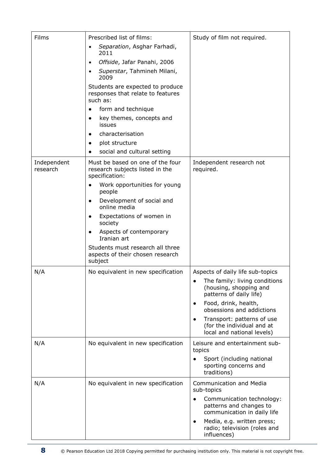| Films                   | Prescribed list of films:                                                             | Study of film not required.                                                            |
|-------------------------|---------------------------------------------------------------------------------------|----------------------------------------------------------------------------------------|
|                         | Separation, Asghar Farhadi,<br>2011                                                   |                                                                                        |
|                         | Offside, Jafar Panahi, 2006<br>$\bullet$                                              |                                                                                        |
|                         | Superstar, Tahmineh Milani,<br>2009                                                   |                                                                                        |
|                         | Students are expected to produce<br>responses that relate to features<br>such as:     |                                                                                        |
|                         | form and technique<br>$\bullet$                                                       |                                                                                        |
|                         | key themes, concepts and<br>$\bullet$<br>issues                                       |                                                                                        |
|                         | characterisation<br>$\bullet$                                                         |                                                                                        |
|                         | plot structure<br>$\bullet$                                                           |                                                                                        |
|                         | social and cultural setting<br>$\bullet$                                              |                                                                                        |
| Independent<br>research | Must be based on one of the four<br>research subjects listed in the<br>specification: | Independent research not<br>required.                                                  |
|                         | Work opportunities for young<br>$\bullet$<br>people                                   |                                                                                        |
|                         | Development of social and<br>$\bullet$<br>online media                                |                                                                                        |
|                         | Expectations of women in<br>society                                                   |                                                                                        |
|                         | Aspects of contemporary<br>$\bullet$<br>Iranian art                                   |                                                                                        |
|                         | Students must research all three<br>aspects of their chosen research<br>subject       |                                                                                        |
| N/A                     | No equivalent in new specification                                                    | Aspects of daily life sub-topics                                                       |
|                         |                                                                                       | The family: living conditions<br>(housing, shopping and<br>patterns of daily life)     |
|                         |                                                                                       | Food, drink, health,<br>obsessions and addictions                                      |
|                         |                                                                                       | Transport: patterns of use<br>(for the individual and at<br>local and national levels) |
| N/A                     | No equivalent in new specification                                                    | Leisure and entertainment sub-<br>topics                                               |
|                         |                                                                                       | Sport (including national<br>sporting concerns and<br>traditions)                      |
| N/A                     | No equivalent in new specification                                                    | <b>Communication and Media</b><br>sub-topics                                           |
|                         |                                                                                       | Communication technology:<br>patterns and changes to<br>communication in daily life    |
|                         |                                                                                       | Media, e.g. written press;<br>٠<br>radio; television (roles and<br>influences)         |

8 © Pearson Education Ltd 2018 Copying permitted for purchasing institution only. This material is not copyright free.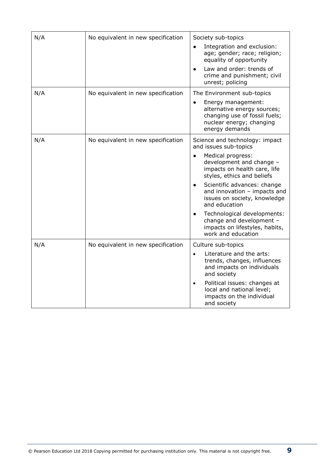| N/A | No equivalent in new specification | Society sub-topics<br>Integration and exclusion:<br>$\bullet$<br>age; gender; race; religion;<br>equality of opportunity<br>Law and order: trends of<br>$\bullet$<br>crime and punishment; civil<br>unrest; policing                                                                                                                                                                                                                             |
|-----|------------------------------------|--------------------------------------------------------------------------------------------------------------------------------------------------------------------------------------------------------------------------------------------------------------------------------------------------------------------------------------------------------------------------------------------------------------------------------------------------|
| N/A | No equivalent in new specification | The Environment sub-topics<br>Energy management:<br>$\bullet$<br>alternative energy sources;<br>changing use of fossil fuels;<br>nuclear energy; changing<br>energy demands                                                                                                                                                                                                                                                                      |
| N/A | No equivalent in new specification | Science and technology: impact<br>and issues sub-topics<br>Medical progress:<br>$\bullet$<br>development and change -<br>impacts on health care, life<br>styles, ethics and beliefs<br>Scientific advances: change<br>$\bullet$<br>and innovation - impacts and<br>issues on society, knowledge<br>and education<br>Technological developments:<br>$\bullet$<br>change and development -<br>impacts on lifestyles, habits,<br>work and education |
| N/A | No equivalent in new specification | Culture sub-topics<br>Literature and the arts:<br>$\bullet$<br>trends, changes, influences<br>and impacts on individuals<br>and society<br>Political issues: changes at<br>local and national level;<br>impacts on the individual<br>and society                                                                                                                                                                                                 |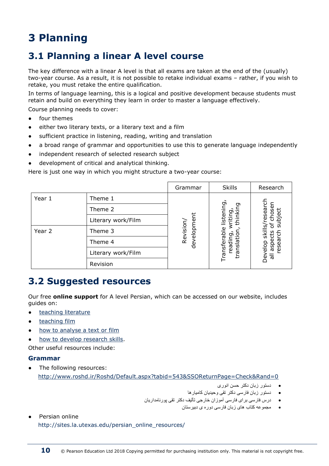# **3 Planning**

### **3.1 Planning a linear A level course**

The key difference with a linear A level is that all exams are taken at the end of the (usually) two-year course. As a result, it is not possible to retake individual exams – rather, if you wish to retake, you must retake the entire qualification.

In terms of language learning, this is a logical and positive development because students must retain and build on everything they learn in order to master a language effectively.

Course planning needs to cover:

- four themes
- either two literary texts, or a literary text and a film
- sufficient practice in listening, reading, writing and translation
- a broad range of grammar and opportunities to use this to generate language independently
- independent research of selected research subject
- development of critical and analytical thinking.

Here is just one way in which you might structure a two-year course:

|        |                    | Grammar     | <b>Skills</b>       | Research               |
|--------|--------------------|-------------|---------------------|------------------------|
| Year 1 | Theme 1            |             | ᠸ                   |                        |
|        | Theme 2            |             | ᠳ<br>ס              | $\overline{R}$         |
|        | Literary work/Film | development | 옵                   |                        |
| Year 2 | Theme 3            | Revision/   | 흐<br>တဲ<br>ůЧ       | <u>ທ</u><br>ō<br>skil  |
|        | Theme 4            |             | <u>ო</u><br>readi   | ω                      |
|        | Literary work/Film |             | ansfer<br>ansl<br>보 | ㅎ<br>ㅎ<br>āS<br>ğ<br>ᇹ |
|        | Revision           |             |                     |                        |

### **3.2 Suggested resources**

Our free **online support** for A level Persian, which can be accessed on our website, includes guides on:

- [teaching literature](https://qualifications.pearson.com/content/dam/pdf/A%20Level/Arabic/2018/teaching-and-learning-materials/GCE-Generic-2018-Approaches-to-teaching-literature.pdf)
- [teaching film](https://qualifications.pearson.com/content/dam/pdf/A%20Level/Arabic/2018/teaching-and-learning-materials/GCE-Generic-2018-Approaches-to-teaching-film.pdf)
- [how to analyse a text or film](https://qualifications.pearson.com/content/dam/pdf/A%20Level/Arabic/2018/teaching-and-learning-materials/GCE-Generic-2018-How-to-analyse-text-film.pdf)
- [how to develop research skills.](https://qualifications.pearson.com/content/dam/pdf/A%20Level/Arabic/2018/teaching-and-learning-materials/GCE-Generic-2018-How-to-develop-research-skills.pdf)

Other useful resources include:

#### **Grammar**

- The following resources: <http://www.roshd.ir/Roshd/Default.aspx?tabid=543&SSOReturnPage=Check&Rand=0>
	- دستور زبان دکتر حسن انوری
	- دستور زبان فارسی دکتر تقی وحیدیان کامیارها
	- درس فارسی برای فارسی آموزان خارجی تآلیف دکتر تقی پورنامداریان
		- مجموعه کتاب های زبان فارسی دوره ی دبیرستان
- Persian online http://sites.la.utexas.edu/persian\_online\_resources/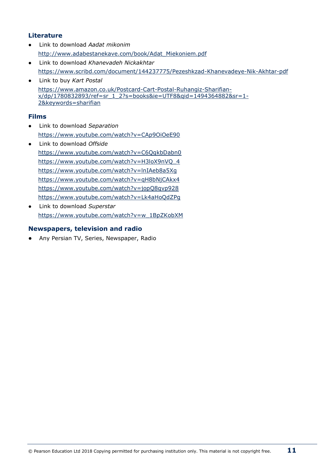#### **Literature**

- Link to download *Aadat mikonim* [http://www.adabestanekave.com/book/Adat\\_Miekoniem.pdf](http://www.adabestanekave.com/book/Adat_Miekoniem.pdf)
- Link to download *Khanevadeh Nickakhtar* https://www.scribd.com/document/144237775/Pezeshkzad-Khanevadeye-Nik-Akhtar-pdf
- Link to buy *Kart Postal* [https://www.amazon.co.uk/Postcard-Cart-Postal-Ruhangiz-Sharifian](https://www.amazon.co.uk/Postcard-Cart-Postal-Ruhangiz-Sharifian-x/dp/1780832893/ref=sr_1_2?s=books&ie=UTF8&qid=1494364882&sr=1-2&keywords=sharifian)[x/dp/1780832893/ref=sr\\_1\\_2?s=books&ie=UTF8&qid=1494364882&sr=1-](https://www.amazon.co.uk/Postcard-Cart-Postal-Ruhangiz-Sharifian-x/dp/1780832893/ref=sr_1_2?s=books&ie=UTF8&qid=1494364882&sr=1-2&keywords=sharifian) [2&keywords=sharifian](https://www.amazon.co.uk/Postcard-Cart-Postal-Ruhangiz-Sharifian-x/dp/1780832893/ref=sr_1_2?s=books&ie=UTF8&qid=1494364882&sr=1-2&keywords=sharifian)

#### **Films**

- Link to download *Separation* <https://www.youtube.com/watch?v=CAp9OiOeE90>
- Link to download *Offside* <https://www.youtube.com/watch?v=C6QgkbDabn0> https://www.youtube.com/watch?v=H3loX9nVQ\_4 <https://www.youtube.com/watch?v=lnIAeb8a5Xg> <https://www.youtube.com/watch?v=qH8bNjCAkx4> <https://www.youtube.com/watch?v=jopQ8qvp928> <https://www.youtube.com/watch?v=Lk4aHoQdZPg>
- Link to download *Superstar* [https://www.youtube.com/watch?v=w\\_1BpZKobXM](https://www.youtube.com/watch?v=w_1BpZKobXM)

#### **Newspapers, television and radio**

Any Persian TV, Series, Newspaper, Radio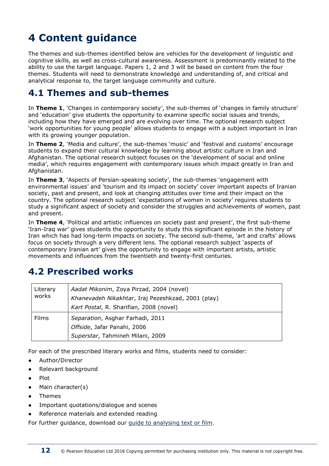# **4 Content guidance**

The themes and sub-themes identified below are vehicles for the development of linguistic and cognitive skills, as well as cross-cultural awareness. Assessment is predominantly related to the ability to use the target language. Papers 1, 2 and 3 will be based on content from the four themes. Students will need to demonstrate knowledge and understanding of, and critical and analytical response to, the target language community and culture.

### **4.1 Themes and sub-themes**

In **Theme 1**, 'Changes in contemporary society', the sub-themes of 'changes in family structure' and 'education' give students the opportunity to examine specific social issues and trends, including how they have emerged and are evolving over time. The optional research subject 'work opportunities for young people' allows students to engage with a subject important in Iran with its growing younger population.

In **Theme 2**, 'Media and culture', the sub-themes 'music' and 'festival and customs' encourage students to expand their cultural knowledge by learning about artistic culture in Iran and Afghanistan. The optional research subject focuses on the 'development of social and online media', which requires engagement with contemporary issues which impact greatly in Iran and Afghanistan.

In **Theme 3**, 'Aspects of Persian-speaking society', the sub-themes 'engagement with environmental issues' and 'tourism and its impact on society' cover important aspects of Iranian society, past and present, and look at changing attitudes over time and their impact on the country. The optional research subject 'expectations of women in society' requires students to study a significant aspect of society and consider the struggles and achievements of women, past and present.

In **Theme 4**, 'Political and artistic influences on society past and present', the first sub-theme 'Iran-Iraq war' gives students the opportunity to study this significant episode in the history of Iran which has had long-term impacts on society. The second sub-theme, 'art and crafts' allows focus on society through a very different lens. The optional research subject 'aspects of contemporary Iranian art' gives the opportunity to engage with important artists, artistic movements and influences from the twentieth and twenty-first centuries.

# **4.2 Prescribed works**

| Literary<br>works | Aadat Mikonim, Zoya Pirzad, 2004 (novel)<br>Khanevadeh Nikakhtar, Iraj Pezeshkzad, 2001 (play)<br>Kart Postal, R. Sharifian, 2008 (novel) |
|-------------------|-------------------------------------------------------------------------------------------------------------------------------------------|
| <b>Films</b>      | Separation, Asghar Farhadi, 2011<br>Offside, Jafar Panahi, 2006<br>Superstar, Tahmineh Milani, 2009                                       |

For each of the prescribed literary works and films, students need to consider:

- Author/Director
- Relevant background
- **Plot**
- Main character(s)
- **Themes**
- Important quotations/dialogue and scenes
- Reference materials and extended reading

For further guidance, download our [guide to analysing text or film.](https://qualifications.pearson.com/content/dam/pdf/A%20Level/Arabic/2018/teaching-and-learning-materials/GCE-Generic-2018-How-to-analyse-text-film.pdf)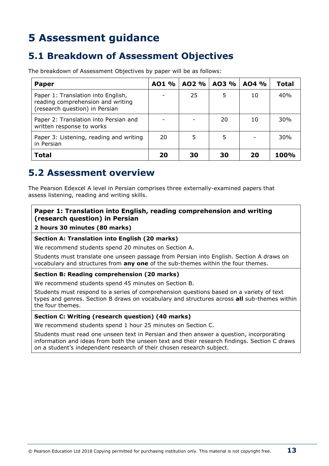# **5 Assessment guidance**

### **5.1 Breakdown of Assessment Objectives**

The breakdown of Assessment Objectives by paper will be as follows:

| <b>Paper</b>                                                                                              | AO1 % | AO2 % | AO3 % | AO4 % | <b>Total</b> |
|-----------------------------------------------------------------------------------------------------------|-------|-------|-------|-------|--------------|
| Paper 1: Translation into English,<br>reading comprehension and writing<br>(research question) in Persian |       | 25    | 5     | 10    | 40%          |
| Paper 2: Translation into Persian and<br>written response to works                                        |       |       | 20    | 10    | 30%          |
| Paper 3: Listening, reading and writing<br>in Persian                                                     | 20    |       | 5     |       | 30%          |
| <b>Total</b>                                                                                              | 20    | 30    | 30    | 20    | 100%         |

### **5.2 Assessment overview**

The Pearson Edexcel A level in Persian comprises three externally-examined papers that assess listening, reading and writing skills.

#### **Paper 1: Translation into English, reading comprehension and writing (research question) in Persian**

#### **2 hours 30 minutes (80 marks)**

#### **Section A: Translation into English (20 marks)**

We recommend students spend 20 minutes on Section A.

Students must translate one unseen passage from Persian into English. Section A draws on vocabulary and structures from **any one** of the sub-themes within the four themes.

#### **Section B: Reading comprehension (20 marks)**

We recommend students spend 45 minutes on Section B.

Students must respond to a series of comprehension questions based on a variety of text types and genres. Section B draws on vocabulary and structures across **all** sub-themes within the four themes.

#### **Section C: Writing (research question) (40 marks)**

We recommend students spend 1 hour 25 minutes on Section C.

Students must read one unseen text in Persian and then answer a question, incorporating information and ideas from both the unseen text and their research findings. Section C draws on a student's independent research of their chosen research subject.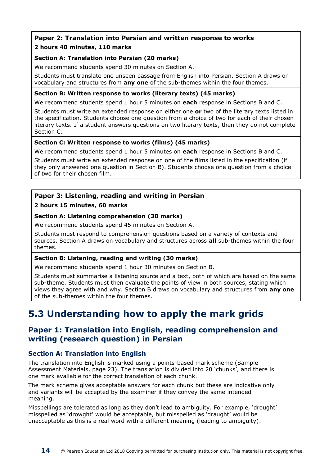# **Paper 2: Translation into Persian and written response to works**

#### **2 hours 40 minutes, 110 marks**

#### **Section A: Translation into Persian (20 marks)**

We recommend students spend 30 minutes on Section A.

Students must translate one unseen passage from English into Persian. Section A draws on vocabulary and structures from **any one** of the sub-themes within the four themes.

#### **Section B: Written response to works (literary texts) (45 marks)**

We recommend students spend 1 hour 5 minutes on **each** response in Sections B and C.

Students must write an extended response on either one **or** two of the literary texts listed in the specification. Students choose one question from a choice of two for each of their chosen literary texts. If a student answers questions on two literary texts, then they do not complete Section C.

#### **Section C: Written response to works (films) (45 marks)**

We recommend students spend 1 hour 5 minutes on **each** response in Sections B and C.

Students must write an extended response on one of the films listed in the specification (if they only answered one question in Section B). Students choose one question from a choice of two for their chosen film.

#### **Paper 3: Listening, reading and writing in Persian**

#### **2 hours 15 minutes, 60 marks**

#### **Section A: Listening comprehension (30 marks)**

We recommend students spend 45 minutes on Section A.

Students must respond to comprehension questions based on a variety of contexts and sources. Section A draws on vocabulary and structures across **all** sub-themes within the four themes.

#### **Section B: Listening, reading and writing (30 marks)**

We recommend students spend 1 hour 30 minutes on Section B.

Students must summarise a listening source and a text, both of which are based on the same sub-theme. Students must then evaluate the points of view in both sources, stating which views they agree with and why. Section B draws on vocabulary and structures from **any one** of the sub-themes within the four themes.

# **5.3 Understanding how to apply the mark grids**

#### **Paper 1: Translation into English, reading comprehension and writing (research question) in Persian**

#### **Section A: Translation into English**

The translation into English is marked using a points-based mark scheme (Sample Assessment Materials, page 23). The translation is divided into 20 'chunks', and there is one mark available for the correct translation of each chunk.

The mark scheme gives acceptable answers for each chunk but these are indicative only and variants will be accepted by the examiner if they convey the same intended meaning.

Misspellings are tolerated as long as they don't lead to ambiguity. For example, 'drought' misspelled as 'drowght' would be acceptable, but misspelled as 'draught' would be unacceptable as this is a real word with a different meaning (leading to ambiguity).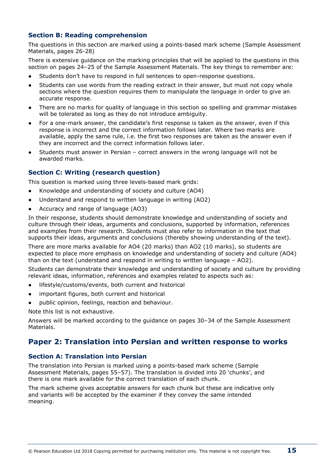#### **Section B: Reading comprehension**

The questions in this section are marked using a points-based mark scheme (Sample Assessment Materials, pages 26-28)

There is extensive guidance on the marking principles that will be applied to the questions in this section on pages 24–25 of the Sample Assessment Materials. The key things to remember are:

- Students don't have to respond in full sentences to open-response questions.
- Students can use words from the reading extract in their answer, but must not copy whole sections where the question requires them to manipulate the language in order to give an accurate response.
- There are no marks for quality of language in this section so spelling and grammar mistakes will be tolerated as long as they do not introduce ambiguity.
- For a one-mark answer, the candidate's first response is taken as the answer, even if this response is incorrect and the correct information follows later. Where two marks are available, apply the same rule, i.e. the first two responses are taken as the answer even if they are incorrect and the correct information follows later.
- Students must answer in Persian correct answers in the wrong language will not be awarded marks.

#### **Section C: Writing (research question)**

This question is marked using three levels-based mark grids:

- Knowledge and understanding of society and culture (AO4)
- Understand and respond to written language in writing (AO2)
- Accuracy and range of language (AO3)

In their response, students should demonstrate knowledge and understanding of society and culture through their ideas, arguments and conclusions, supported by information, references and examples from their research. Students must also refer to information in the text that supports their ideas, arguments and conclusions (thereby showing understanding of the text).

There are more marks available for AO4 (20 marks) than AO2 (10 marks), so students are expected to place more emphasis on knowledge and understanding of society and culture (AO4) than on the text (understand and respond in writing to written language – AO2).

Students can demonstrate their knowledge and understanding of society and culture by providing relevant ideas, information, references and examples related to aspects such as:

- lifestyle/customs/events, both current and historical
- important figures, both current and historical
- public opinion, feelings, reaction and behaviour.

Note this list is not exhaustive.

Answers will be marked according to the guidance on pages 30–34 of the Sample Assessment Materials.

#### **Paper 2: Translation into Persian and written response to works**

#### **Section A: Translation into Persian**

The translation into Persian is marked using a points-based mark scheme (Sample Assessment Materials, pages 55–57). The translation is divided into 20 'chunks', and there is one mark available for the correct translation of each chunk.

The mark scheme gives acceptable answers for each chunk but these are indicative only and variants will be accepted by the examiner if they convey the same intended meaning.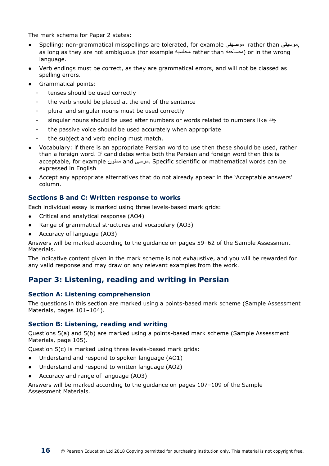The mark scheme for Paper 2 states:

- Spelling: non-grammatical misspellings are tolerated, for example موصیقی rather than موسیقی, as long as they are not ambiguous (for example محاسبه rather than مصاحبه (or in the wrong language.
- Verb endings must be correct, as they are grammatical errors, and will not be classed as spelling errors.
- Grammatical points:
	- tenses should be used correctly
	- the verb should be placed at the end of the sentence
	- plural and singular nouns must be used correctly
	- singular nouns should be used after numbers or words related to numbers like چند
	- the passive voice should be used accurately when appropriate
	- the subject and verb ending must match.
- Vocabulary: if there is an appropriate Persian word to use then these should be used, rather than a foreign word. If candidates write both the Persian and foreign word then this is acceptable, for example ممنون and مرسی. Specific scientific or mathematical words can be expressed in English
- Accept any appropriate alternatives that do not already appear in the 'Acceptable answers' column.

#### **Sections B and C: Written response to works**

Each individual essay is marked using three levels-based mark grids:

- Critical and analytical response (AO4)
- Range of grammatical structures and vocabulary (AO3)
- Accuracy of language (AO3)

Answers will be marked according to the guidance on pages 59–62 of the Sample Assessment Materials.

The indicative content given in the mark scheme is not exhaustive, and you will be rewarded for any valid response and may draw on any relevant examples from the work.

#### **Paper 3: Listening, reading and writing in Persian**

#### **Section A: Listening comprehension**

The questions in this section are marked using a points-based mark scheme (Sample Assessment Materials, pages 101–104).

#### **Section B: Listening, reading and writing**

Questions 5(a) and 5(b) are marked using a points-based mark scheme (Sample Assessment Materials, page 105).

Question 5(c) is marked using three levels-based mark grids:

- Understand and respond to spoken language (AO1)
- Understand and respond to written language (AO2)
- Accuracy and range of language (AO3)

Answers will be marked according to the guidance on pages 107–109 of the Sample Assessment Materials.